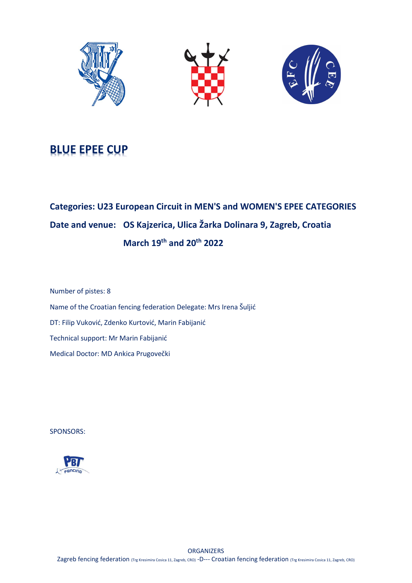





# BLUE EPEE CUP

# Categories: U23 European Circuit in MEN'S and WOMEN'S EPEE CATEGORIES Date and venue: OS Kajzerica, Ulica Žarka Dolinara 9, Zagreb, Croatia March 19th and 20th 2022

Number of pistes: 8 Name of the Croatian fencing federation Delegate: Mrs Irena Šuljić DT: Filip Vuković, Zdenko Kurtović, Marin Fabijanić Technical support: Mr Marin Fabijanić Medical Doctor: MD Ankica Prugovečki

SPONSORS:

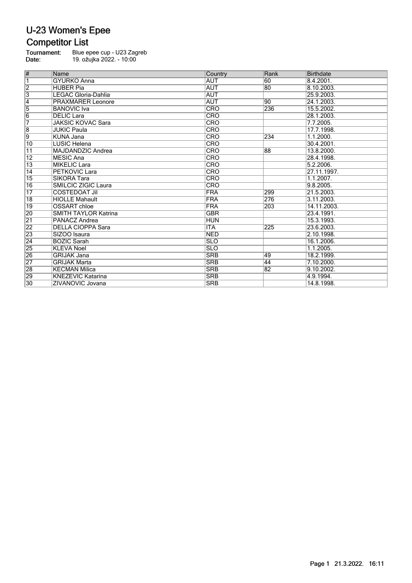#### **Competitor List**

Tournament:<br>Date: Blue epee cup - U23 Zagreb 19. ožujka 2022. - 10:00

| $\vert \#$      | <b>Name</b>                 | Country                 | Rank | Birthdate   |
|-----------------|-----------------------------|-------------------------|------|-------------|
| $\overline{1}$  | <b>GYURKO Anna</b>          | <b>AUT</b>              | 60   | 8.4.2001.   |
| $\overline{2}$  | HUBER Pia                   | <b>AUT</b>              | 80   | 8.10.2003.  |
| $\overline{3}$  | LEGAC Gloria-Dahlia         | <b>AUT</b>              |      | 25.9.2003.  |
| $\overline{4}$  | <b>PRAXMARER Leonore</b>    | <b>AUT</b>              | 90   | 24.1.2003.  |
| $\overline{5}$  | <b>BANOVIC</b> Iva          | <b>CRO</b>              | 236  | 15.5.2002.  |
| $\overline{6}$  | <b>DELIC</b> Lara           | <b>CRO</b>              |      | 28.1.2003.  |
| 7               | <b>JAKSIC KOVAC Sara</b>    | <b>CRO</b>              |      | 7.7.2005.   |
| $\overline{8}$  | <b>JUKIC Paula</b>          | <b>CRO</b>              |      | 17.7.1998.  |
| $\overline{9}$  | KUNA Jana                   | <b>CRO</b>              | 234  | 1.1.2000.   |
| $\overline{10}$ | LUSIC Helena                | <b>CRO</b>              |      | 30.4.2001.  |
| $\overline{11}$ | MAJDANDZIC Andrea           | <b>CRO</b>              | 88   | 13.8.2000.  |
| 12              | MESIC Ana                   | <b>CRO</b>              |      | 28.4.1998.  |
| $\overline{13}$ | <b>MIKELIC Lara</b>         | <b>CRO</b>              |      | 5.2.2006    |
| $\overline{14}$ | <b>PETKOVIC Lara</b>        | <b>CRO</b>              |      | 27.11.1997. |
| $\overline{15}$ | <b>SIKORA Tara</b>          | <b>CRO</b>              |      | 1.1.2007.   |
| 16              | <b>SMILCIC ZIGIC Laura</b>  | CRO                     |      | 9.8.2005.   |
| $\overline{17}$ | <b>COSTEDOAT Jil</b>        | <b>FRA</b>              | 299  | 21.5.2003.  |
| $\overline{18}$ | <b>HIOLLE Mahault</b>       | <b>FRA</b>              | 276  | 3.11.2003.  |
| $\overline{19}$ | <b>OSSART</b> chloe         | <b>FRA</b>              | 203  | 14.11.2003. |
| 20              | <b>SMITH TAYLOR Katrina</b> | <b>GBR</b>              |      | 23.4.1991.  |
| $\overline{21}$ | PANACZ Andrea               | <b>HUN</b>              |      | 15.3.1993.  |
| 22              | <b>DELLA CIOPPA Sara</b>    | $\overline{\text{ITA}}$ | 225  | 23.6.2003.  |
| 23              | SIZOO Isaura                | <b>NED</b>              |      | 2.10.1998.  |
| $\overline{24}$ | <b>BOZIC Sarah</b>          | <b>SLO</b>              |      | 16.1.2006.  |
| 25              | <b>KLEVA Noel</b>           | <b>SLO</b>              |      | 1.1.2005.   |
| 26              | <b>GRIJAK Jana</b>          | <b>SRB</b>              | 49   | 18.2.1999.  |
| 27              | <b>GRIJAK Marta</b>         | <b>SRB</b>              | 44   | 7.10.2000.  |
| 28              | KECMAN Milica               | <b>SRB</b>              | 82   | 9.10.2002.  |
| 29              | <b>KNEZEVIC Katarina</b>    | <b>SRB</b>              |      | 4.9.1994.   |
| 30              | ZIVANOVIC Jovana            | <b>SRB</b>              |      | 14.8.1998.  |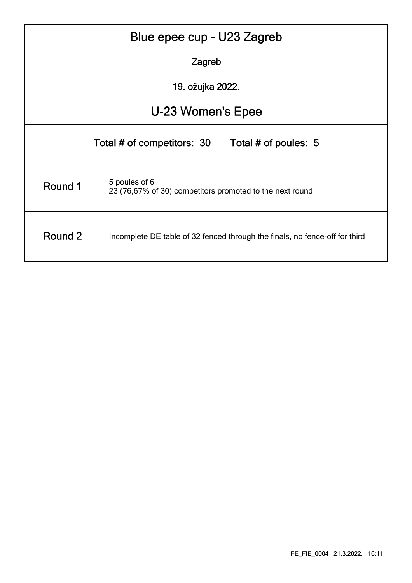| Blue epee cup - U23 Zagreb                                                             |                                                                           |  |  |  |  |  |  |  |  |  |
|----------------------------------------------------------------------------------------|---------------------------------------------------------------------------|--|--|--|--|--|--|--|--|--|
| Zagreb                                                                                 |                                                                           |  |  |  |  |  |  |  |  |  |
| 19. ožujka 2022.                                                                       |                                                                           |  |  |  |  |  |  |  |  |  |
|                                                                                        | U-23 Women's Epee                                                         |  |  |  |  |  |  |  |  |  |
| Total # of competitors: 30<br>Total # of poules: 5                                     |                                                                           |  |  |  |  |  |  |  |  |  |
| Round 1                                                                                | 5 poules of 6<br>23 (76,67% of 30) competitors promoted to the next round |  |  |  |  |  |  |  |  |  |
| Round 2<br>Incomplete DE table of 32 fenced through the finals, no fence-off for third |                                                                           |  |  |  |  |  |  |  |  |  |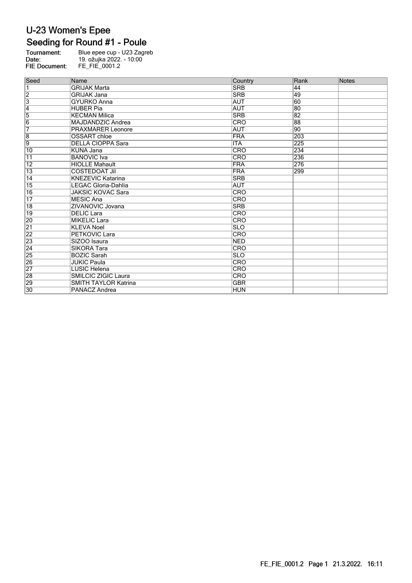### Seeding for Round #1 - Poule

| Tournament:          | Blue epee cup - U23 Zagreb |
|----------------------|----------------------------|
| Date:                | 19. ožujka 2022. - 10:00   |
| <b>FIE Document:</b> | FE FIE 0001.2              |

| Seed            | Name                        | Country    | Rank            | <b>Notes</b> |
|-----------------|-----------------------------|------------|-----------------|--------------|
| $\overline{1}$  | <b>GRIJAK Marta</b>         | <b>SRB</b> | 44              |              |
| $\frac{2}{3}$   | <b>GRIJAK Jana</b>          | <b>SRB</b> | 49              |              |
|                 | <b>GYURKO Anna</b>          | <b>AUT</b> | 60              |              |
|                 | <b>HUBER Pia</b>            | <b>AUT</b> | 80              |              |
| $\frac{4}{5}$   | <b>KECMAN Milica</b>        | <b>SRB</b> | 82              |              |
|                 | MAJDANDZIC Andrea           | CRO        | 88              |              |
| 7               | <b>PRAXMARER Leonore</b>    | <b>AUT</b> | $\overline{90}$ |              |
| $\overline{8}$  | <b>OSSART</b> chloe         | <b>FRA</b> | 203             |              |
| $\overline{9}$  | <b>DELLA CIOPPA Sara</b>    | <b>ITA</b> | 225             |              |
| $\overline{10}$ | KUNA Jana                   | CRO        | 234             |              |
| $\overline{11}$ | <b>BANOVIC</b> Iva          | CRO        | 236             |              |
| $\overline{12}$ | <b>HIOLLE Mahault</b>       | <b>FRA</b> | 276             |              |
| $\overline{13}$ | <b>COSTEDOAT Jil</b>        | <b>FRA</b> | 299             |              |
| 14              | <b>KNEZEVIC Katarina</b>    | <b>SRB</b> |                 |              |
| 15              | LEGAC Gloria-Dahlia         | <b>AUT</b> |                 |              |
| 16              | <b>JAKSIC KOVAC Sara</b>    | <b>CRO</b> |                 |              |
| $\overline{17}$ | <b>MESIC Ana</b>            | <b>CRO</b> |                 |              |
| 18              | ZIVANOVIC Jovana            | <b>SRB</b> |                 |              |
| $\overline{19}$ | <b>DELIC Lara</b>           | <b>CRO</b> |                 |              |
| 20              | <b>MIKELIC Lara</b>         | <b>CRO</b> |                 |              |
| $\overline{21}$ | <b>KLEVA Noel</b>           | <b>SLO</b> |                 |              |
| $\frac{22}{23}$ | <b>PETKOVIC Lara</b>        | CRO        |                 |              |
|                 | SIZOO Isaura                | <b>NED</b> |                 |              |
| $\overline{24}$ | <b>SIKORA Tara</b>          | <b>CRO</b> |                 |              |
| $\overline{25}$ | <b>BOZIC Sarah</b>          | <b>SLO</b> |                 |              |
| 26              | <b>JUKIC Paula</b>          | <b>CRO</b> |                 |              |
| $\overline{27}$ | <b>LUSIC Helena</b>         | <b>CRO</b> |                 |              |
| 28              | SMILCIC ZIGIC Laura         | CRO        |                 |              |
| 29              | <b>SMITH TAYLOR Katrina</b> | <b>GBR</b> |                 |              |
| 30              | PANACZ Andrea               | <b>HUN</b> |                 |              |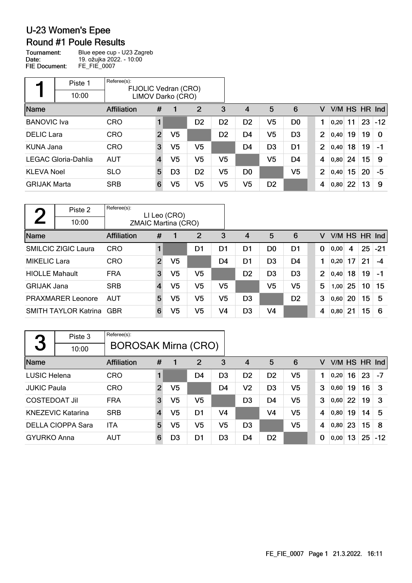### **Round #1 Poule Results**

Tournament: Blue epee cup - U23 Zagreb Date: 19. ožujka 2022. - 10:00 **FIE Document:** FE\_FIE\_0007

|                     | Piste 1             | Referee(s):<br>FIJOLIC Vedran (CRO) |                |                   |                |                |                |                |                |   |                |      |    |    |               |
|---------------------|---------------------|-------------------------------------|----------------|-------------------|----------------|----------------|----------------|----------------|----------------|---|----------------|------|----|----|---------------|
|                     | 10:00               |                                     |                | LIMOV Darko (CRO) |                |                |                |                |                |   |                |      |    |    |               |
| Name                |                     | <b>Affiliation</b>                  | #              |                   | 2              | 3              | 4              | 5              | 6              |   | v              |      |    |    | V/M HS HR Ind |
| <b>BANOVIC</b> Iva  |                     | <b>CRO</b>                          |                |                   | D <sub>2</sub> | D <sub>2</sub> | D <sub>2</sub> | V5             | D <sub>0</sub> |   |                | 0,20 | 11 | 23 | $-12$         |
| <b>DELIC</b> Lara   |                     | <b>CRO</b>                          | $\overline{2}$ | V <sub>5</sub>    |                | D <sub>2</sub> | D <sub>4</sub> | V <sub>5</sub> | D <sub>3</sub> |   | $\overline{2}$ | 0,40 | 19 | 19 | $\Omega$      |
| <b>KUNA Jana</b>    |                     | <b>CRO</b>                          | 3              | V5                | V5             |                | D <sub>4</sub> | D <sub>3</sub> | D <sub>1</sub> |   | $\overline{2}$ | 0,40 | 18 | 19 | $-1$          |
|                     | LEGAC Gloria-Dahlia | <b>AUT</b>                          | $\overline{4}$ | V5                | V5             | V5             |                | V5             | D <sub>4</sub> | 4 |                | 0.80 | 24 | 15 | 9             |
| <b>KLEVA Noel</b>   |                     | <b>SLO</b>                          | 5              | D <sub>3</sub>    | D <sub>2</sub> | V5             | D <sub>0</sub> |                | V <sub>5</sub> |   | $\overline{2}$ | 0,40 | 15 | 20 | -5            |
| <b>GRIJAK Marta</b> |                     | <b>SRB</b>                          | 6              | V5                | V5             | V5             | V <sub>5</sub> | D <sub>2</sub> |                | 4 |                | 0,80 | 22 | 13 | 9             |

| $\blacksquare$        | Piste 2                     | Referee(s):                |                | LI Leo (CRO) |                |                |                |                |                |   |      |    |           |       |
|-----------------------|-----------------------------|----------------------------|----------------|--------------|----------------|----------------|----------------|----------------|----------------|---|------|----|-----------|-------|
|                       | 10:00                       | <b>ZMAIC Martina (CRO)</b> |                |              |                |                |                |                |                |   |      |    |           |       |
| Name                  |                             | Affiliation                | #              |              | $\overline{2}$ | 3              | 4              | 5              | 6              | v | V/M  |    | HS HR Ind |       |
|                       | <b>SMILCIC ZIGIC Laura</b>  | <b>CRO</b>                 |                |              | D1             | D1             | D1             | D <sub>0</sub> | D1             | 0 | 0,00 | 4  | 25        | $-21$ |
| <b>MIKELIC Lara</b>   |                             | <b>CRO</b>                 | $\overline{2}$ | V5           |                | D4             | D1             | D <sub>3</sub> | D4             |   | 0,20 | 17 | 21        | $-4$  |
| <b>HIOLLE Mahault</b> |                             | <b>FRA</b>                 | 3              | V5           | V5             |                | D <sub>2</sub> | D <sub>3</sub> | D <sub>3</sub> | 2 | 0,40 | 18 | 19        | $-1$  |
| <b>GRIJAK Jana</b>    |                             | <b>SRB</b>                 | $\overline{4}$ | V5           | V5             | V5             |                | V <sub>5</sub> | V5             | 5 | 1,00 | 25 | 10        | 15    |
|                       | <b>PRAXMARER Leonore</b>    | AUT                        | 5              | V5           | V <sub>5</sub> | V <sub>5</sub> | D <sub>3</sub> |                | D <sub>2</sub> | 3 | 0,60 | 20 | 15        | 5     |
|                       | <b>SMITH TAYLOR Katrina</b> | <b>GBR</b>                 | 6              | V5           | V <sub>5</sub> | V <sub>4</sub> | D <sub>3</sub> | V <sub>4</sub> |                | 4 | 0,80 | 21 | 15        | 6     |

| 3                    | Piste 3<br>10:00         | Referee(s):<br><b>BOROSAK Mirna (CRO)</b> |                |                |                |                |                |                |                |                         |      |               |    |       |
|----------------------|--------------------------|-------------------------------------------|----------------|----------------|----------------|----------------|----------------|----------------|----------------|-------------------------|------|---------------|----|-------|
| Name                 |                          | Affiliation                               | #              |                | $\overline{2}$ | 3              | 4              | 5              | 6              | v                       |      | V/M HS HR Ind |    |       |
| <b>LUSIC Helena</b>  |                          | <b>CRO</b>                                |                |                | D4             | D <sub>3</sub> | D <sub>2</sub> | D <sub>2</sub> | V5             |                         | 0,20 | 16            | 23 | -7    |
| <b>JUKIC Paula</b>   |                          | <b>CRO</b>                                | $\overline{2}$ | V5             |                | D <sub>4</sub> | V <sub>2</sub> | D <sub>3</sub> | V <sub>5</sub> | 3                       | 0.60 | 19            | 16 | 3     |
| <b>COSTEDOAT Jil</b> |                          | <b>FRA</b>                                | 3              | V <sub>5</sub> | V5             |                | D <sub>3</sub> | D4             | V <sub>5</sub> | 3                       | 0.60 | 22            | 19 | 3     |
|                      | <b>KNEZEVIC Katarina</b> | <b>SRB</b>                                | $\overline{4}$ | V <sub>5</sub> | D1             | V4             |                | V <sub>4</sub> | V <sub>5</sub> | 4                       | 0,80 | 19            | 14 | 5     |
|                      | <b>DELLA CIOPPA Sara</b> | <b>ITA</b>                                | 5              | V5             | V5             | V5             | D <sub>3</sub> |                | V <sub>5</sub> | $\overline{\mathbf{4}}$ | 0,80 | 23            | 15 | 8     |
| <b>GYURKO Anna</b>   |                          | <b>AUT</b>                                | 6              | D3             | D1             | D <sub>3</sub> | D <sub>4</sub> | D <sub>2</sub> |                | 0                       | 0,00 | 13            | 25 | $-12$ |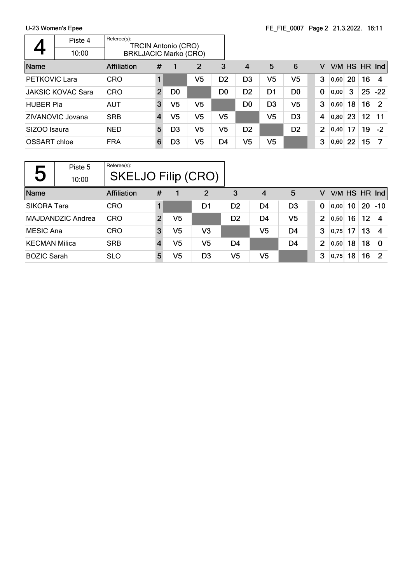|                  | Piste 4                  | Referee(s):        |                | <b>TRCIN Antonio (CRO)</b> |                              |                |                |                |                |  |                |      |    |    |             |
|------------------|--------------------------|--------------------|----------------|----------------------------|------------------------------|----------------|----------------|----------------|----------------|--|----------------|------|----|----|-------------|
|                  | 10:00                    |                    |                |                            | <b>BRKLJACIC Marko (CRO)</b> |                |                |                |                |  |                |      |    |    |             |
| Name             |                          | <b>Affiliation</b> | #              |                            | $\overline{2}$               | 3              | 4              | 5              | 6              |  | v              | V/M  |    |    | $HS$ HR Ind |
| PETKOVIC Lara    |                          | <b>CRO</b>         |                |                            | V5                           | D <sub>2</sub> | D <sub>3</sub> | V <sub>5</sub> | V5             |  | 3              | 0.60 | 20 | 16 | 4           |
|                  | <b>JAKSIC KOVAC Sara</b> | <b>CRO</b>         | $\overline{2}$ | D <sub>0</sub>             |                              | D <sub>0</sub> | D <sub>2</sub> | D1             | D <sub>0</sub> |  | 0              | 0,00 | 3  | 25 | $-22$       |
| <b>HUBER Pia</b> |                          | <b>AUT</b>         | 3              | V5                         | V5                           |                | D <sub>0</sub> | D <sub>3</sub> | V5             |  | 3              | 0,60 | 18 | 16 | 2           |
|                  | ZIVANOVIC Jovana         | <b>SRB</b>         | $\overline{4}$ | V5                         | V5                           | V5             |                | V <sub>5</sub> | D <sub>3</sub> |  | 4              | 0,80 | 23 | 12 | 11          |
| SIZOO Isaura     |                          | <b>NED</b>         | 5              | D <sub>3</sub>             | V5                           | V5             | D <sub>2</sub> |                | D <sub>2</sub> |  | $\overline{2}$ | 0,40 | 17 | 19 | $-2$        |
| OSSART chloe     |                          | <b>FRA</b>         | 6              | D3                         | V <sub>5</sub>               | D4             | V <sub>5</sub> | V <sub>5</sub> |                |  | 3              | 0,60 | 22 | 15 | 7           |

٦

|                      | Piste 5           | Referee(s):        |                           |                |                |                |    |                |                |      |    |    |             |
|----------------------|-------------------|--------------------|---------------------------|----------------|----------------|----------------|----|----------------|----------------|------|----|----|-------------|
| 5                    | 10:00             |                    | <b>SKELJO Filip (CRO)</b> |                |                |                |    |                |                |      |    |    |             |
| Name                 |                   | <b>Affiliation</b> | #                         |                | $\overline{2}$ | 3              | 4  | 5              | v              | V/M  |    |    | $HS$ HR Ind |
| <b>SIKORA Tara</b>   |                   | <b>CRO</b>         |                           |                | D1             | D <sub>2</sub> | D4 | D <sub>3</sub> | $\bf{0}$       | 0,00 | 10 | 20 | $-10$       |
|                      | MAJDANDZIC Andrea | <b>CRO</b>         | $\overline{2}$            | V5             |                | D <sub>2</sub> | D4 | V5             | $\overline{2}$ | 0,50 | 16 | 12 | 4           |
| MESIC Ana            |                   | <b>CRO</b>         | 3                         | V5             | V3             |                | V5 | D4             | 3              | 0,75 | 17 | 13 | 4           |
| <b>KECMAN Milica</b> |                   | <b>SRB</b>         | 4                         | V5             | V5             | D4             |    | D4             | $\overline{2}$ | 0,50 | 18 | 18 | 0           |
| <b>BOZIC Sarah</b>   |                   | <b>SLO</b>         | 5                         | V <sub>5</sub> | D <sub>3</sub> | V5             | V5 |                | 3              | 0,75 | 18 | 16 | 2           |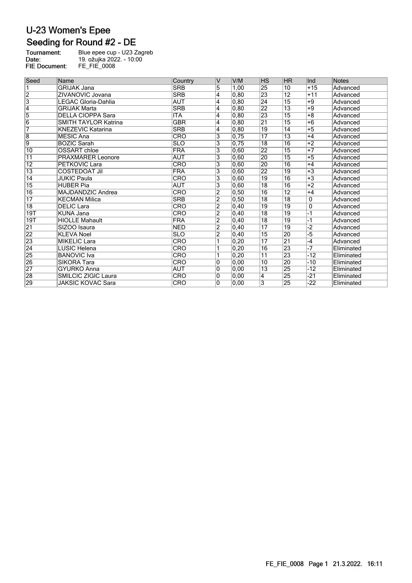### Seeding for Round #2 - DE

| Tournament:          | Blue epee cup - U23 Zagreb |
|----------------------|----------------------------|
| Date:                | 19. ožujka 2022. - 10:00   |
| <b>FIE Document:</b> | FE FIE 0008                |

| Seed            | Name                        | Country    | IV             | V/M  | <b>HS</b>       | <b>HR</b>       | Ind          | <b>Notes</b> |
|-----------------|-----------------------------|------------|----------------|------|-----------------|-----------------|--------------|--------------|
| 1               | <b>GRIJAK Jana</b>          | <b>SRB</b> | 5              | 1,00 | 25              | 10              | $+15$        | Advanced     |
| $\overline{2}$  | ZIVANOVIC Jovana            | <b>SRB</b> | 4              | 0.80 | 23              | $\overline{12}$ | $+11$        | Advanced     |
| $\overline{3}$  | LEGAC Gloria-Dahlia         | <b>AUT</b> | $\overline{4}$ | 0,80 | 24              | $\overline{15}$ | $+9$         | Advanced     |
| $\overline{4}$  | <b>GRIJAK Marta</b>         | <b>SRB</b> | 4              | 0,80 | 22              | $\overline{13}$ | $+9$         | Advanced     |
| $\overline{5}$  | <b>DELLA CIOPPA Sara</b>    | <b>ITA</b> | 4              | 0,80 | 23              | $\overline{15}$ | $+8$         | Advanced     |
| $\overline{6}$  | <b>SMITH TAYLOR Katrina</b> | <b>GBR</b> | 4              | 0.80 | $\overline{21}$ | $\overline{15}$ | $+6$         | Advanced     |
| 7               | <b>KNEZEVIC Katarina</b>    | <b>SRB</b> | 4              | 0,80 | 19              | 14              | $+5$         | Advanced     |
| $\overline{8}$  | <b>MESIC Ana</b>            | <b>CRO</b> | 3              | 0,75 | 17              | $\overline{13}$ | $+4$         | Advanced     |
| 9               | <b>BOZIC Sarah</b>          | <b>SLO</b> | 3              | 0,75 | $\overline{18}$ | $\overline{16}$ | $+2$         | Advanced     |
| 10              | OSSART chloe                | <b>FRA</b> | 3              | 0.60 | $\overline{22}$ | $\overline{15}$ | $+7$         | Advanced     |
| $\overline{11}$ | <b>PRAXMARER Leonore</b>    | <b>AUT</b> | 3              | 0,60 | 20              | $\overline{15}$ | $+5$         | Advanced     |
| $\overline{12}$ | PETKOVIC Lara               | <b>CRO</b> | 3              | 0,60 | 20              | 16              | $+4$         | Advanced     |
| $\overline{13}$ | <b>COSTEDOAT Jil</b>        | <b>FRA</b> | 3              | 0,60 | 22              | $\overline{19}$ | $+3$         | Advanced     |
| 14              | <b>JUKIC Paula</b>          | <b>CRO</b> | 3              | 0.60 | 19              | 16              | $+3$         | Advanced     |
| 15              | <b>HUBER Pia</b>            | <b>AUT</b> | 3              | 0,60 | $\overline{18}$ | $\overline{16}$ | $+2$         | Advanced     |
| 16              | MAJDANDZIC Andrea           | CRO        | 2              | 0,50 | $\overline{16}$ | $\overline{12}$ | $+4$         | Advanced     |
| $\overline{17}$ | <b>KECMAN Milica</b>        | <b>SRB</b> | $\overline{2}$ | 0,50 | $\overline{18}$ | $\overline{18}$ | $\mathbf{0}$ | Advanced     |
| $\overline{18}$ | <b>DELIC Lara</b>           | CRO        | $\overline{2}$ | 0,40 | 19              | 19              | $\mathbf 0$  | Advanced     |
| 19T             | <b>KUNA Jana</b>            | CRO        | $\overline{2}$ | 0,40 | $\overline{18}$ | 19              | $-1$         | Advanced     |
| 19T             | <b>HIOLLE Mahault</b>       | <b>FRA</b> | $\overline{2}$ | 0.40 | $\overline{18}$ | 19              | $-1$         | Advanced     |
| $\overline{21}$ | SIZOO Isaura                | <b>NED</b> | $\overline{2}$ | 0,40 | 17              | 19              | $-2$         | Advanced     |
| 22              | <b>KLEVA Noel</b>           | <b>SLO</b> | $\overline{2}$ | 0,40 | 15              | 20              | -5           | Advanced     |
| $\overline{23}$ | <b>MIKELIC Lara</b>         | CRO        |                | 0,20 | 17              | $\overline{21}$ | $-4$         | Advanced     |
| $\overline{24}$ | LUSIC Helena                | CRO        |                | 0,20 | $\overline{16}$ | 23              | $-7$         | Eliminated   |
| 25              | <b>BANOVIC</b> Iva          | CRO        |                | 0,20 | $\overline{11}$ | $\overline{23}$ | $-12$        | Eliminated   |
| 26              | <b>SIKORA Tara</b>          | CRO        | 10             | 0,00 | 10              | $\overline{20}$ | $-10$        | Eliminated   |
| 27              | <b>GYURKO Anna</b>          | <b>AUT</b> | 0              | 0,00 | $\overline{13}$ | $\overline{25}$ | $-12$        | Eliminated   |
| 28              | <b>SMILCIC ZIGIC Laura</b>  | <b>CRO</b> | 10             | 0,00 | 4               | 25              | $-21$        | Eliminated   |
| 29              | JAKSIC KOVAC Sara           | CRO        | $\overline{0}$ | 0.00 | 3               | $\overline{25}$ | $-22$        | Eliminated   |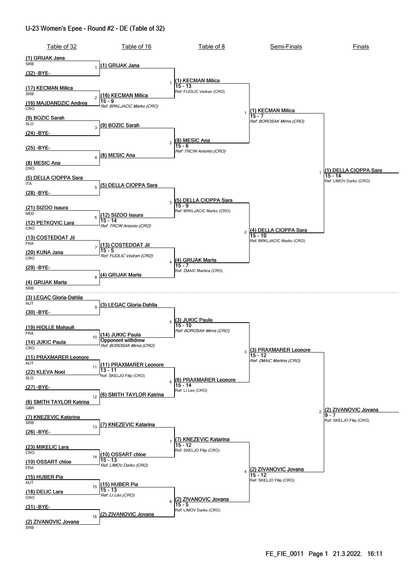#### U-23 Women's Epee - Round #2 - DE (Table of 32)

| Table of 32                                               | Table of 16                                   | Table of 8                                     | Semi-Finals                          | Finals                              |
|-----------------------------------------------------------|-----------------------------------------------|------------------------------------------------|--------------------------------------|-------------------------------------|
| (1) GRIJAK Jana<br><b>SRB</b>                             |                                               |                                                |                                      |                                     |
| $\mathbf{1}$<br><u>(32) -BYE-</u>                         | (1) GRIJAK Jana                               |                                                |                                      |                                     |
|                                                           | $\mathbf{1}$                                  | (1) KECMAN Milica<br>$15 - 13$                 |                                      |                                     |
| (17) KECMAN Milica<br><b>SRB</b>                          | (16) KECMAN Milica                            | Ref: FIJOLIC Vedran (CRO)                      |                                      |                                     |
| $\overline{c}$<br>(16) MAJDANDZIC Andrea                  | $15 - 9$<br>Ref: BRKLJACIC Marko (CRO)        |                                                |                                      |                                     |
| CRO<br>(9) BOZIC Sarah                                    |                                               |                                                | (1) KECMAN Milica<br>15 - 7          |                                     |
| <b>SLO</b><br>3                                           | (9) BOZIC Sarah                               |                                                | Ref: BOROSAK Mirna (CRO)             |                                     |
| (24) -BYE-                                                |                                               |                                                |                                      |                                     |
| <u>(25) -BYE-</u>                                         |                                               | $2\sqrt{\frac{(8) \text{ MESIC Ana}}{15 - 6}}$ |                                      |                                     |
| $\overline{\mathbf{4}}$                                   | (8) MESIC Ana                                 | Ref: TRCIN Antonio (CRO)                       |                                      |                                     |
| (8) MESIC Ana<br>CRO                                      |                                               |                                                |                                      | (1) DELLA CIOPPA Sara               |
| (5) DELLA CIOPPA Sara<br><b>ITA</b>                       |                                               |                                                |                                      | $15 - 14$<br>Ref: LIMOV Darko (CRO) |
| (28) -BYE-                                                | 5 (5) DELLA CIOPPA Sara                       |                                                |                                      |                                     |
|                                                           | 3                                             | (5) DELLA CIOPPA Sara<br>$15 - 9$              |                                      |                                     |
| (21) SIZOO Isaura<br><b>NED</b>                           | (12) SIZOO Isaura                             | Ref: BRKLJACIC Marko (CRO)                     |                                      |                                     |
| 6<br><u>(12) PETKOVIC Lara</u>                            | 15 - 14<br>Ref: TRCIN Antonio (CRO)           |                                                |                                      |                                     |
| CRO                                                       |                                               |                                                | 2 (4) DELLA CIOPPA Sara<br>$15 - 10$ |                                     |
| <u>(13) COSTEDOAT Jil</u><br><b>FRA</b><br>$\overline{7}$ | (13) COSTEDOAT Jil                            |                                                | Ref: BRKLJACIC Marko (CRO)           |                                     |
| <u>(20) KUNA Jana</u><br>CRO                              | $15 - 5$<br>Ref: FIJOLIC Vedran (CRO)         |                                                |                                      |                                     |
| (29) -BYE-                                                |                                               | (4) GRIJAK Marta                               |                                      |                                     |
| 8                                                         | (4) GRIJAK Marta                              | Ref: ZMAIC Martina (CRO)                       |                                      |                                     |
| (4) GRIJAK Marta<br><b>SRB</b>                            |                                               |                                                |                                      |                                     |
| (3) LEGAC Gloria-Dahlia<br>AUT                            |                                               |                                                |                                      |                                     |
| <u>(30) -BYE-</u>                                         | 9 (3) LEGAC Gloria-Dahlia                     |                                                |                                      |                                     |
|                                                           | $\mathbf 5$                                   | <u>(3) JUKIC Paula</u><br>15 - 10              |                                      |                                     |
| (19) HIOLLE Mahault<br><b>FRA</b>                         | (14) JUKIC Paula                              | Ref: BOROSAK Mirna (CRO)                       |                                      |                                     |
| 10<br>(14) JUKIC Paula                                    | Opponent withdrew<br>Ref: BOROSAK Mirna (CRO) |                                                |                                      |                                     |
| CRO<br>(11) PRAXMARER Leonore                             |                                               |                                                | 3 (3) PRAXMARER Leonore<br>$15 - 12$ |                                     |
| <b>AUT</b><br>11                                          | (11) PRAXMARER Leonore                        |                                                | Ref: ZMAIC Martina (CRO)             |                                     |
| (22) KLEVA Noel<br><b>SLO</b>                             | 13 - 11<br>Ref: SKELJO Filip (CRO)            | (6) PRAXMARER Leonore                          |                                      |                                     |
| (27) -BYE-                                                | 6                                             | $15 - 14$<br>Ref: LI Leo (CRO)                 |                                      |                                     |
| 12<br>(6) SMITH TAYLOR Katrina                            | (6) SMITH TAYLOR Katrina                      |                                                |                                      |                                     |
| GBR                                                       |                                               |                                                |                                      | 2 (2) ZIVANOVIC Jovana              |
| (7) KNEZEVIC Katarina<br>SRB                              |                                               |                                                |                                      | Ref: SKELJO Filip (CRO)             |
| 13<br><u>(26) -BYE-</u>                                   | 7) KNEZEVIC Katarina                          |                                                |                                      |                                     |
|                                                           |                                               | (7) KNEZEVIC Katarina<br>$15 - 12$             |                                      |                                     |
| (23) MIKELIC Lara<br>CRO<br>14                            | (10) OSSART chloe                             | Ref: SKELJO Filip (CRO)                        |                                      |                                     |
| (10) OSSART chloe<br><b>FRA</b>                           | $15 - 13$<br>Ref: LIMOV Darko (CRO)           |                                                |                                      |                                     |
| (15) HUBER Pia                                            |                                               |                                                | (2) ZIVANOVIC Jovana<br>15 - 12      |                                     |
| AUT<br>15                                                 | (15) HUBER Pia<br>$15 - 13$                   |                                                | Ref: SKELJO Filip (CRO)              |                                     |
| (18) DELIC Lara<br>CRO                                    | Ref: LI Leo (CRO)                             | 8 (2) ZIVANOVIC Jovana                         |                                      |                                     |
| <u>(31) -BYE-</u>                                         |                                               | Ref: LIMOV Darko (CRO)                         |                                      |                                     |
| 16<br>(2) ZIVANOVIC Jovana<br><b>SRB</b>                  | (2) ZIVANOVIC Jovana                          |                                                |                                      |                                     |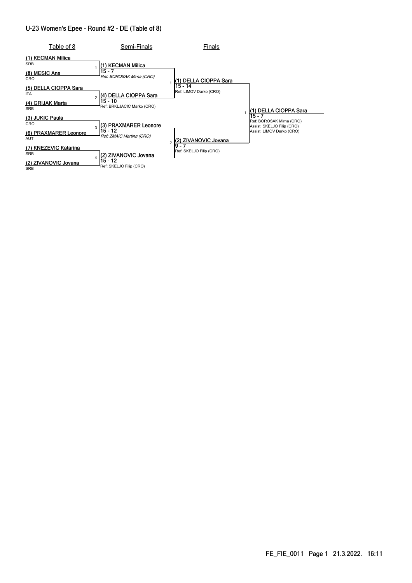#### U-23 Women's Epee - Round #2 - DE (Table of 8)

| Table of 8                               | Semi-Finals                                           | Finals                            |                                                                    |
|------------------------------------------|-------------------------------------------------------|-----------------------------------|--------------------------------------------------------------------|
| (1) KECMAN Milica<br><b>SRB</b>          | (1) KECMAN Milica<br>$15 - 7$                         |                                   |                                                                    |
| (8) MESIC Ana<br>CRO                     | Ref: BOROSAK Mirna (CRO)                              | (1) DELLA CIOPPA Sara             |                                                                    |
| (5) DELLA CIOPPA Sara<br><b>ITA</b>      | (4) DELLA CIOPPA Sara                                 | 15 - 14<br>Ref: LIMOV Darko (CRO) |                                                                    |
| <b>GRIJAK Marta</b><br>(4)<br><b>SRB</b> | $15 - 10$<br>Ref: BRKLJACIC Marko (CRO)               |                                   | '1) DELLA CIOPPA Sara                                              |
| (3) JUKIC Paula<br>CRO                   | (3) PRAXMARER Leonore                                 |                                   | $15 - 7$<br>Ref: BOROSAK Mirna (CRO)<br>Assist: SKELJO Filip (CRO) |
| (6) PRAXMARER Leonore<br><b>AUT</b>      | 15 - 12<br>Ref: ZMAIC Martina (CRO)<br>$\overline{a}$ | ZIVANOVIC Jovana                  | Assist: LIMOV Darko (CRO)                                          |
| <b>KNEZEVIC Katarina</b><br><b>SRB</b>   | (2) ZIVANOVIC Jovana                                  | 9 - 7<br>Ref: SKELJO Filip (CRO)  |                                                                    |
| (2) ZIVANOVIC Jovana<br><b>SRB</b>       | $15 - 12$<br>Ref: SKELJO Filip (CRO)                  |                                   |                                                                    |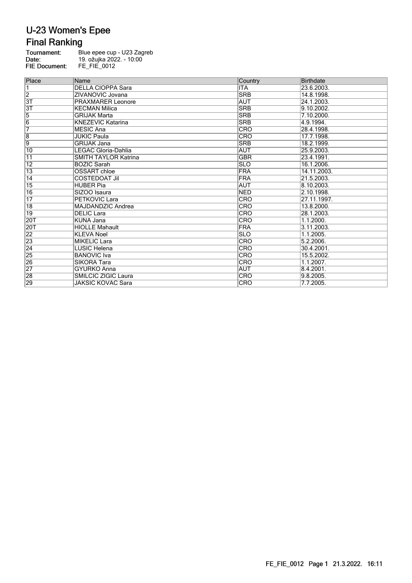## **Final Ranking**

| Tournament:          | Blue epee cup - U23 Zagreb |
|----------------------|----------------------------|
| Date:                | 19. ožujka 2022. - 10:00   |
| <b>FIE Document:</b> | FE FIE 0012                |

| Place           | Name                        | Country    | <b>Birthdate</b> |
|-----------------|-----------------------------|------------|------------------|
| 1               | <b>DELLA CIOPPA Sara</b>    | IITA       | 23.6.2003.       |
| $\overline{2}$  | ZIVANOVIC Jovana            | <b>SRB</b> | 14.8.1998.       |
| 3T              | <b>PRAXMARER Leonore</b>    | <b>AUT</b> | 24.1.2003.       |
| $\overline{3T}$ | <b>KECMAN Milica</b>        | <b>SRB</b> | 9.10.2002.       |
| $\frac{5}{6}$   | <b>GRIJAK Marta</b>         | <b>SRB</b> | 7.10.2000.       |
|                 | <b>KNEZEVIC Katarina</b>    | <b>SRB</b> | 4.9.1994.        |
| 7               | <b>MESIC Ana</b>            | <b>CRO</b> | 28.4.1998.       |
| $\overline{8}$  | <b>JUKIC Paula</b>          | <b>CRO</b> | 17.7.1998.       |
| 9               | <b>GRIJAK Jana</b>          | <b>SRB</b> | 18.2.1999.       |
| $\overline{10}$ | LEGAC Gloria-Dahlia         | <b>AUT</b> | 25.9.2003.       |
| $\overline{11}$ | <b>SMITH TAYLOR Katrina</b> | <b>GBR</b> | 23.4.1991.       |
| $\overline{12}$ | <b>BOZIC Sarah</b>          | <b>SLO</b> | 16.1.2006.       |
| $\overline{13}$ | <b>OSSART</b> chloe         | FRA        | 14.11.2003.      |
| $\overline{14}$ | <b>COSTEDOAT Jil</b>        | FRA        | 21.5.2003.       |
| $\overline{15}$ | <b>HUBER Pia</b>            | <b>AUT</b> | 8.10.2003.       |
| 16              | SIZOO Isaura                | <b>NED</b> | 2.10.1998.       |
| $\overline{17}$ | PETKOVIC Lara               | <b>CRO</b> | 27.11.1997.      |
| $\overline{18}$ | MAJDANDZIC Andrea           | <b>CRO</b> | 13.8.2000.       |
| $ 19\rangle$    | <b>DELIC Lara</b>           | <b>CRO</b> | 28.1.2003.       |
| 20T             | <b>KUNA Jana</b>            | <b>CRO</b> | 1.1.2000.        |
| 20T             | <b>HIOLLE Mahault</b>       | <b>FRA</b> | 3.11.2003.       |
| $\overline{22}$ | <b>KLEVA Noel</b>           | <b>SLO</b> | 1.1.2005.        |
| $\overline{23}$ | <b>MIKELIC Lara</b>         | CRO        | 5.2.2006.        |
| $\overline{24}$ | <b>LUSIC Helena</b>         | <b>CRO</b> | 30.4.2001.       |
| $\overline{25}$ | <b>BANOVIC</b> Iva          | <b>CRO</b> | 15.5.2002.       |
| $\overline{26}$ | <b>SIKORA Tara</b>          | CRO        | 1.1.2007.        |
| $\overline{27}$ | <b>GYURKO Anna</b>          | <b>AUT</b> | 8.4.2001.        |
| 28              | SMILCIC ZIGIC Laura         | <b>CRO</b> | 9.8.2005.        |
| 29              | JAKSIC KOVAC Sara           | <b>CRO</b> | 7.7.2005.        |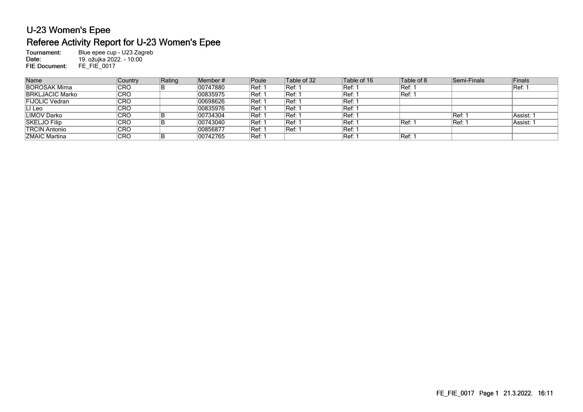### U-23 Women's Epee Referee Activity Report for U-23 Women's Epee

Tournament: Blue epee cup - U23 Zagreb 19. ožujka 2022. - 10:00Date: FIE Document: FE\_FIE\_0017

| Country    | Rating | Poule                                                                                                   | Table of 32         | Table of 16 | Table of 8    | Finals                        |
|------------|--------|---------------------------------------------------------------------------------------------------------|---------------------|-------------|---------------|-------------------------------|
| 'CRO       |        | ็Ref: 1                                                                                                 | IRef: 1             | Ref: 1      | <b>Ref: 1</b> | IRef: 1                       |
| 'CRO       |        |                                                                                                         | ∣Ref: 1             | Ref: 1      | Ref: 1        |                               |
| <b>CRO</b> |        | Ref: 1                                                                                                  | ∣Ref: 1             | Ref: 1      |               |                               |
| <b>CRO</b> |        | Ref: 1                                                                                                  | Ref: 1              | Ref: 1      |               |                               |
| <b>CRO</b> |        | ੈRef: 1                                                                                                 | Ref: 1              | Ref: 1      |               | Assist: 1                     |
| `CRO       |        | Ref: 1                                                                                                  | Ref: 1              | Ref: 1      | Ref: 1        | Assist: 1                     |
| <b>CRO</b> |        | Ref: 1                                                                                                  | ∣Ref: 1             | Ref: 1      |               |                               |
| <b>CRO</b> |        | 'Ref: ∶                                                                                                 |                     | Ref: ˈ      | Ref: 1        |                               |
|            |        | Member#<br>00747880<br>00835975<br>00698626<br>00835976<br>00734304<br>00743040<br>00856877<br>00742765 | <sup>เ</sup> Ref: เ |             |               | Semi-Finals<br>IRef.<br> Ref: |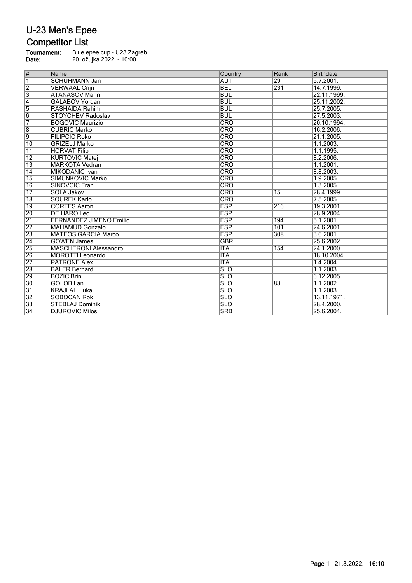### U-23 Men's Epee **Competitor List**

Tournament: Blue epee cup - U23 Zagreb Date: 20. ožujka 2022. - 10:00

# Name Rank Birthdate Rank Birthdate Rank Birthdate Rank Birthdate 1 SCHUHMANN Jan AUT 29 5.7.2001. VERWAAL Crijn 3 ATANASOV Marin BUL 22.11.1999.<br>4 GALABOV Yordan BUL 25.11.2002.<br>5 RASHAIDA Rahim BUL BUL 25.7.2005. GALABOV Yordan 5 RASHAIDA Rahim BUL 25.7.2005.<br>6 STOYCHEV Radoslav BUL BUL 27.5.2003. 6 STOYCHEV Radoslav BUL 27. BOGOVIC Maurizio BUL 27. BOGOVIC Maurizio 7 BOGOVIC Maurizio CRO 20.10.1994. 8 CUBRIC Marko CRO 16.2.2006. **FILIPCIC Roko** 10 GRIZELJ Marko CRO 1.1.2003. 11 HORVAT Filip CRO 1.1.1995. 12 KURTOVIC Matej CRO 8.2.2006. 13 MARKOTA Vedran CRO 1.1.2001. 14 MIKODANIC Ivan CRO 8.8.2003. 15 SIMUNKOVIC Marko CRO CRO 1.9.2005.<br>16 SINOVCIC Fran CRO CRO 1.3.2005. 16 SINOVCIC Fran CRO 1.3.2005. 17 SOLA Jakov CRO 15 28.4.1999. 18 SOUREK Karlo CRO CRO 7.5.2005.<br>19 CORTES Aaron ESP 216 19.3.2001 19 CORTES Aaron ESP 216<br>20 DE HARO Leo ESP ESP 216 20 DE HARO Leo ESP 28.9.2004.<br>
21 FERNANDEZ JIMENO Emilio ESP 194 5.1.2001.<br>
22 MAHAMUD Gonzalo ESP 101 24.6.2001. 21 FERNANDEZ JIMENO Emilio and the series of the series of the series of the series of the series of the series of the series of the series of the series of the series of the series of the series of the series of the serie **MAHAMUD Gonzalo** 23 MATEOS GARCIA Marco ESP 308 3.6.2001.<br>24 GOWEN James 2002. 24 GOWEN James GBR<br>
25 MASCHERONI Alessandro ITA 154<br>
26 MOROTTI Leonardo ITA 154<br>
27 PATRONE Alex ITA ITA 25 MASCHERONI Alessandro ITA 154 24.1.2000. 26 MOROTTI Leonardo ITA 18.10.2004. 27 PATRONE Alex<br>28 BALER Bernard er by the second term of the second term of the second second second second second second second second second second second second second second second second second second second second second second second second second 29 BOZIC Brin SLO SLO SLO 6.12.2005. 30 GOLOB Lan SLO 83 1.1.2002. **KRAJLAH Luka** 32 SOBOCAN Rok SLO 13.11.1971.<br>33 STEBLAJ Dominik SLO 28.4.2000. 33 STEBLAJ Dominik SLO 28.4.2000.<br>34 DJUROVIC Milos SRB 25.6.2004. **34 DJUROVIC Milos 25.6.2004.** SRB 25.6.2004.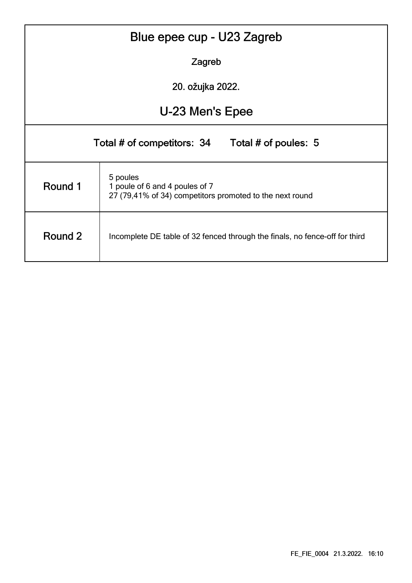|                                                                                                                   | Blue epee cup - U23 Zagreb                         |  |  |  |  |  |  |  |  |
|-------------------------------------------------------------------------------------------------------------------|----------------------------------------------------|--|--|--|--|--|--|--|--|
|                                                                                                                   | Zagreb                                             |  |  |  |  |  |  |  |  |
| 20. ožujka 2022.                                                                                                  |                                                    |  |  |  |  |  |  |  |  |
|                                                                                                                   | U-23 Men's Epee                                    |  |  |  |  |  |  |  |  |
|                                                                                                                   | Total # of poules: 5<br>Total # of competitors: 34 |  |  |  |  |  |  |  |  |
| 5 poules<br>Round 1<br>1 poule of 6 and 4 poules of 7<br>27 (79,41% of 34) competitors promoted to the next round |                                                    |  |  |  |  |  |  |  |  |
| Round 2<br>Incomplete DE table of 32 fenced through the finals, no fence-off for third                            |                                                    |  |  |  |  |  |  |  |  |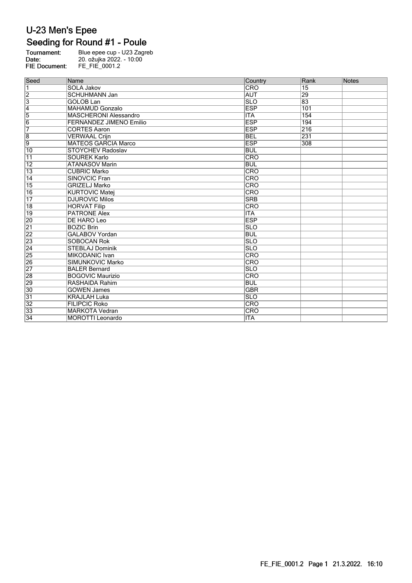## Seeding for Round #1 - Poule

| Tournament:          | Blue epee cup - U23 Zagreb |
|----------------------|----------------------------|
| Date:                | 20. ožujka 2022. - 10:00   |
| <b>FIE Document:</b> | FE FIE 0001.2              |

| Seed                    | Name                           | Country    | Rank            | <b>Notes</b> |
|-------------------------|--------------------------------|------------|-----------------|--------------|
| $\overline{\mathbf{1}}$ | <b>SOLA Jakov</b>              | <b>CRO</b> | $\overline{15}$ |              |
| $\overline{2}$          | <b>SCHUHMANN Jan</b>           | <b>AUT</b> | 29              |              |
| $\overline{3}$          | <b>GOLOB Lan</b>               | <b>SLO</b> | 83              |              |
| $\overline{4}$          | <b>MAHAMUD Gonzalo</b>         | <b>ESP</b> | 101             |              |
| $\overline{5}$          | <b>MASCHERONI Alessandro</b>   | ITA        | 154             |              |
| $\overline{6}$          | <b>FERNANDEZ JIMENO Emilio</b> | <b>ESP</b> | 194             |              |
| 7                       | <b>CORTES Aaron</b>            | <b>ESP</b> | 216             |              |
| $\overline{\mathbf{8}}$ | <b>VERWAAL Crijn</b>           | <b>BEL</b> | 231             |              |
| 9                       | <b>MATEOS GARCIA Marco</b>     | <b>ESP</b> | 308             |              |
| $\overline{10}$         | <b>STOYCHEV Radoslav</b>       | <b>BUL</b> |                 |              |
| $\overline{11}$         | <b>SOUREK Karlo</b>            | CRO        |                 |              |
| 12                      | <b>ATANASOV Marin</b>          | <b>BUL</b> |                 |              |
| $\overline{13}$         | <b>CUBRIC Marko</b>            | CRO        |                 |              |
| $\overline{14}$         | <b>SINOVCIC Fran</b>           | CRO        |                 |              |
| 15                      | <b>GRIZELJ Marko</b>           | <b>CRO</b> |                 |              |
| $\overline{16}$         | <b>KURTOVIC Matej</b>          | <b>CRO</b> |                 |              |
| $\overline{17}$         | <b>DJUROVIC Milos</b>          | <b>SRB</b> |                 |              |
| 18                      | <b>HORVAT Filip</b>            | <b>CRO</b> |                 |              |
| $\overline{19}$         | <b>PATRONE Alex</b>            | <b>ITA</b> |                 |              |
| 20                      | <b>DE HARO Leo</b>             | <b>ESP</b> |                 |              |
| $\overline{21}$         | <b>BOZIC Brin</b>              | <b>SLO</b> |                 |              |
| 22                      | <b>GALABOV Yordan</b>          | <b>BUL</b> |                 |              |
| $\overline{23}$         | <b>SOBOCAN Rok</b>             | <b>SLO</b> |                 |              |
| $\overline{24}$         | <b>STEBLAJ Dominik</b>         | <b>SLO</b> |                 |              |
| 25                      | <b>MIKODANIC Ivan</b>          | CRO        |                 |              |
| 26                      | SIMUNKOVIC Marko               | <b>CRO</b> |                 |              |
| $\overline{27}$         | <b>BALER Bernard</b>           | <b>SLO</b> |                 |              |
| 28                      | <b>BOGOVIC Maurizio</b>        | CRO        |                 |              |
| 29                      | <b>RASHAIDA Rahim</b>          | <b>BUL</b> |                 |              |
| 30                      | <b>GOWEN James</b>             | <b>GBR</b> |                 |              |
| $\overline{31}$         | <b>KRAJLAH Luka</b>            | <b>SLO</b> |                 |              |
| $\overline{32}$         | <b>FILIPCIC Roko</b>           | CRO        |                 |              |
| 33                      | <b>MARKOTA Vedran</b>          | CRO        |                 |              |
| 34                      | <b>MOROTTI Leonardo</b>        | <b>ITA</b> |                 |              |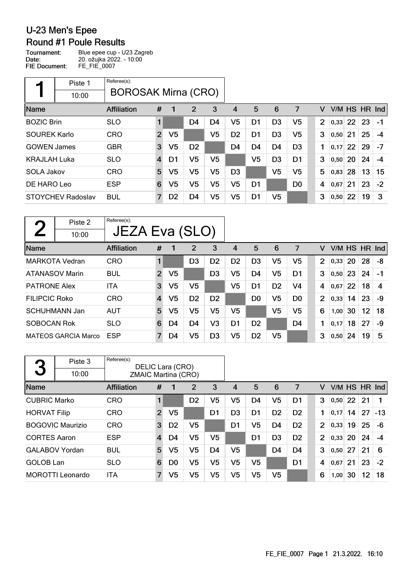**Round #1 Poule Results** 

Tournament: Blue epee cup - U23 Zagreb 20. ožujka 2022. - 10:00 Date: **FIE Document:** FE\_FIE\_0007

Referee(s): Piste 1 ×, BOROSAK Mirna (CRO) 10:00  $\overline{7}$ Name Affiliation  $#$  $\mathbf{1}$  $\overline{2}$ 3  $\overline{4}$ 5 6  $\mathsf{V}$ V/M HS HR Ind  $\mathbf{1}$ BOZIC Brin SLO D<sub>4</sub> D<sub>4</sub>  $V<sub>5</sub>$ D<sub>1</sub> D<sub>3</sub>  $V<sub>5</sub>$  $\overline{2}$  $|0,33|$  22 23  $-1$ SOUREK Karlo CRO  $\overline{2}$  $V<sub>5</sub>$  $V<sub>5</sub>$ D<sub>2</sub> D<sub>1</sub> D<sub>3</sub>  $V<sub>5</sub>$  $\overline{3}$  $|0,50|$  21 25  $-4$  $V<sub>5</sub>$ GOWEN James **GBR**  $\sqrt{3}$ D<sub>2</sub> D<sub>4</sub> D<sub>4</sub> D<sub>4</sub> D<sub>3</sub>  $\mathbf{1}$  $|0,17|22$ 29  $-7$  $V<sub>5</sub>$ KRAJLAH Luka SLO  $\overline{4}$  $D<sub>1</sub>$  $V<sub>5</sub>$  $V<sub>5</sub>$ D<sub>3</sub> D<sub>1</sub> 3  $|0,50|$  20 24  $-4$  $V<sub>5</sub>$  $V<sub>5</sub>$  $V<sub>5</sub>$ SOLA Jakov CRO 5  $V<sub>5</sub>$  $V<sub>5</sub>$ D<sub>3</sub>  $5\phantom{1}$  $|0,83|$  28 13 15 DE HARO Leo ESP  $6\phantom{1}6$  $V<sub>5</sub>$  $V<sub>5</sub>$  $V<sub>5</sub>$  $V<sub>5</sub>$ D1 D<sub>0</sub>  $\overline{\mathbf{4}}$  $0,67$  21 23  $-2$  $V<sub>5</sub>$ STOYCHEV Radoslav BUL  $\overline{7}$ D<sub>2</sub> D<sub>4</sub>  $V<sub>5</sub>$ D<sub>1</sub>  $V<sub>5</sub>$  $\overline{3}$  $0,50$  22 19 3

| $\mathbf{\Omega}$    | Piste 2                    | Referee(s):        |                |                |                |                |                |                |                |                |                |               |     |    |      |
|----------------------|----------------------------|--------------------|----------------|----------------|----------------|----------------|----------------|----------------|----------------|----------------|----------------|---------------|-----|----|------|
|                      | 10:00                      | JEZA Eva (SLO)     |                |                |                |                |                |                |                |                |                |               |     |    |      |
| Name                 |                            | <b>Affiliation</b> | #              |                | 2              | 3              | 4              | 5              | 6              | 7              | v              | V/M HS HR Ind |     |    |      |
|                      | <b>MARKOTA Vedran</b>      | <b>CRO</b>         | 1              |                | D <sub>3</sub> | D <sub>2</sub> | D <sub>2</sub> | D <sub>3</sub> | V <sub>5</sub> | V5             | $\overline{2}$ | 0,33          | 20  | 28 | -8   |
|                      | <b>ATANASOV Marin</b>      | <b>BUL</b>         | 2              | V <sub>5</sub> |                | D3             | V5             | D4             | V5             | D1             | 3              | 0,50          | -23 | 24 | $-1$ |
| <b>PATRONE Alex</b>  |                            | ITA                | 3              | V <sub>5</sub> | V5             |                | V <sub>5</sub> | D <sub>1</sub> | D <sub>2</sub> | V4             | 4              | 0,67          | 22  | 18 | 4    |
| <b>FILIPCIC Roko</b> |                            | <b>CRO</b>         | $\overline{4}$ | V5             | D <sub>2</sub> | D <sub>2</sub> |                | D <sub>0</sub> | V <sub>5</sub> | D <sub>0</sub> | $\overline{2}$ | 0,33          | 14  | 23 | -9   |
|                      | <b>SCHUHMANN Jan</b>       | <b>AUT</b>         | 5              | V5             | V5             | V5             | V5             |                | V5             | V5             | 6              | 1,00          | 30  | 12 | 18   |
| SOBOCAN Rok          |                            | <b>SLO</b>         | 6              | D4             | D <sub>4</sub> | V <sub>3</sub> | D <sub>1</sub> | D <sub>2</sub> |                | D <sub>4</sub> | 1              | 0,17          | 18  | 27 | -9   |
|                      | <b>MATEOS GARCIA Marco</b> | <b>ESP</b>         | 7              | D4             | V5             | D <sub>3</sub> | V5             | D <sub>2</sub> | V5             |                | 3              | 0,50          | 24  | 19 | 5    |

| 3                   | Piste 3<br>10:00        | Referee(s):        | DELIC Lara (CRO)<br><b>ZMAIC Martina (CRO)</b> |                |                |    |                |                |                |                |                |      |     |    |               |
|---------------------|-------------------------|--------------------|------------------------------------------------|----------------|----------------|----|----------------|----------------|----------------|----------------|----------------|------|-----|----|---------------|
| Name                |                         | <b>Affiliation</b> | #                                              |                | $\overline{2}$ | 3  | 4              | 5              | 6              | 7              | v              |      |     |    | V/M HS HR Ind |
| <b>CUBRIC Marko</b> |                         | <b>CRO</b>         |                                                |                | D <sub>2</sub> | V5 | V5             | D4             | V <sub>5</sub> | D <sub>1</sub> | 3              | 0,50 | 22  | 21 |               |
| <b>HORVAT Filip</b> |                         | <b>CRO</b>         | $\overline{2}$                                 | V5             |                | D1 | D <sub>3</sub> | D <sub>1</sub> | D <sub>2</sub> | D <sub>2</sub> |                | 0,17 | 14  | 27 | $-13$         |
|                     | <b>BOGOVIC Maurizio</b> | <b>CRO</b>         | 3                                              | D <sub>2</sub> | V5             |    | D <sub>1</sub> | V5             | D <sub>4</sub> | D <sub>2</sub> | $\overline{2}$ | 0,33 | 19  | 25 | $-6$          |
| <b>CORTES Aaron</b> |                         | <b>ESP</b>         | $\overline{4}$                                 | D4             | V5             | V5 |                | D1             | D <sub>3</sub> | D <sub>2</sub> | $\overline{2}$ | 0,33 | 20  | 24 | -4            |
|                     | <b>GALABOV Yordan</b>   | <b>BUL</b>         | 5                                              | V5             | V5             | D4 | V5             |                | D4             | D4             | 3              | 0,50 | 27  | 21 | 6             |
| <b>GOLOB</b> Lan    |                         | <b>SLO</b>         | 6                                              | D <sub>0</sub> | V5             | V5 | V5             | V5             |                | D <sub>1</sub> | 4              | 0,67 | -21 | 23 | $-2$          |
|                     | <b>MOROTTI Leonardo</b> | ITA                | 7                                              | V5             | V <sub>5</sub> | V5 | V5             | V5             | V5             |                | 6              | 1,00 | 30  | 12 | 18            |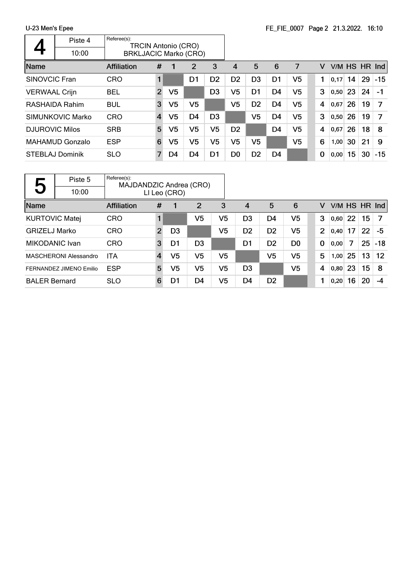|                       | Piste 4                | Referee(s):<br><b>TRCIN Antonio (CRO)</b> |                |    |                |                |                |                |                |                |   |      |     |     |            |
|-----------------------|------------------------|-------------------------------------------|----------------|----|----------------|----------------|----------------|----------------|----------------|----------------|---|------|-----|-----|------------|
|                       | 10:00                  | <b>BRKLJACIC Marko (CRO)</b>              |                |    |                |                |                |                |                |                |   |      |     |     |            |
| Name                  |                        | <b>Affiliation</b>                        | #              |    | 2              | 3              | 4              | 5              | 6              | 7              | v | V/M  | HS. | HR. | <b>Ind</b> |
| <b>SINOVCIC Fran</b>  |                        | <b>CRO</b>                                |                |    | D1             | D <sub>2</sub> | D <sub>2</sub> | D <sub>3</sub> | D <sub>1</sub> | V <sub>5</sub> |   | 0,17 | 14  | 29  | $-15$      |
| <b>VERWAAL Crijn</b>  |                        | <b>BEL</b>                                | $\overline{2}$ | V5 |                | D <sub>3</sub> | V5             | D1             | D4             | V <sub>5</sub> | 3 | 0,50 | 23  | 24  | -1         |
|                       | <b>RASHAIDA Rahim</b>  | <b>BUL</b>                                | 3              | V5 | V5             |                | V5             | D <sub>2</sub> | D <sub>4</sub> | V <sub>5</sub> | 4 | 0,67 | 26  | 19  | 7          |
|                       | SIMUNKOVIC Marko       | <b>CRO</b>                                | $\overline{4}$ | V5 | D4             | D <sub>3</sub> |                | V5             | D4             | V5             | 3 | 0,50 | 26  | 19  | 7          |
| <b>DJUROVIC Milos</b> |                        | <b>SRB</b>                                | 5              | V5 | V5             | V <sub>5</sub> | D <sub>2</sub> |                | D <sub>4</sub> | V5             | 4 | 0,67 | 26  | 18  | 8          |
|                       | <b>MAHAMUD Gonzalo</b> | <b>ESP</b>                                | 6              | V5 | V5             | V <sub>5</sub> | V5             | V5             |                | V5             | 6 | 1,00 | 30  | 21  | 9          |
|                       | <b>STEBLAJ Dominik</b> | <b>SLO</b>                                | 7              | D4 | D <sub>4</sub> | D <sub>1</sub> | D <sub>0</sub> | D <sub>2</sub> | D <sub>4</sub> |                | 0 | 0,00 | 15  | 30  | $-15$      |

|                          | Piste 5                 | Referee(s):<br>MAJDANDZIC Andrea (CRO) |                |                |                |                |                |                |                |                |        |    |    |                   |
|--------------------------|-------------------------|----------------------------------------|----------------|----------------|----------------|----------------|----------------|----------------|----------------|----------------|--------|----|----|-------------------|
| $\overline{\phantom{0}}$ | 10:00                   |                                        |                | LI Leo (CRO)   |                |                |                |                |                |                |        |    |    |                   |
| Name                     |                         | <b>Affiliation</b>                     | #              | 1              | 2              | 3              | 4              | 5              | 6              | v              | V/M HS |    |    | $HR$ Ind          |
| <b>KURTOVIC Matej</b>    |                         | <b>CRO</b>                             |                |                | V <sub>5</sub> | V <sub>5</sub> | D <sub>3</sub> | D4             | V5             | 3              | 0,60   | 22 | 15 |                   |
| <b>GRIZELJ Marko</b>     |                         | <b>CRO</b>                             | $\overline{2}$ | D <sub>3</sub> |                | V5             | D <sub>2</sub> | D <sub>2</sub> | V5             | $\overline{2}$ | 0,40   | 17 | 22 | -5                |
| <b>MIKODANIC Ivan</b>    |                         | <b>CRO</b>                             | 3              | D1             | D <sub>3</sub> |                | D1             | D <sub>2</sub> | D <sub>0</sub> | $\bf{0}$       | 0,00   | 7  | 25 | $-18$             |
|                          | MASCHERONI Alessandro   | <b>ITA</b>                             | $\overline{4}$ | V <sub>5</sub> | V5             | V5             |                | V5             | V5             | 5              | 1,00   | 25 | 13 | $12 \overline{ }$ |
|                          | FERNANDEZ JIMENO Emilio | <b>ESP</b>                             | 5              | V5             | V5             | V5             | D <sub>3</sub> |                | V5             | 4              | 0,80   | 23 | 15 | -8                |
| <b>BALER Bernard</b>     |                         | <b>SLO</b>                             | 6              | D1             | D4             | V <sub>5</sub> | D <sub>4</sub> | D <sub>2</sub> |                |                | 0,20   | 16 | 20 | -4                |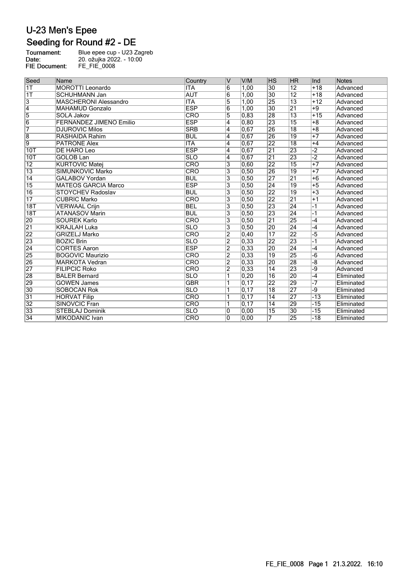## Seeding for Round #2 - DE

| Tournament:          | Blue epee cup - U23 Zagreb |
|----------------------|----------------------------|
| Date:                | 20. ožujka 2022. - 10:00   |
| <b>FIE Document:</b> | FE FIE 0008                |

| Seed             | Name                           | Country                 | v                       | V/M               | <b>IHS</b>      | <b>HR</b>       | llnd           | <b>Notes</b> |
|------------------|--------------------------------|-------------------------|-------------------------|-------------------|-----------------|-----------------|----------------|--------------|
| $\overline{1T}$  | <b>MOROTTI</b> Leonardo        | <b>ITA</b>              | 6                       | 1,00              | $\overline{30}$ | $\overline{12}$ | $+18$          | Advanced     |
| 1T               | <b>SCHUHMANN Jan</b>           | <b>AUT</b>              | $6\overline{6}$         | 1,00              | $\overline{30}$ | $\overline{12}$ | $+18$          | Advanced     |
| 3                | <b>MASCHERONI Alessandro</b>   | <b>ITA</b>              | $\overline{5}$          | 1,00              | 25              | $\overline{13}$ | $+12$          | Advanced     |
| $\overline{4}$   | <b>MAHAMUD Gonzalo</b>         | <b>ESP</b>              | 6                       | 1.00              | $\overline{30}$ | $\overline{21}$ | $+9$           | Advanced     |
| $\overline{5}$   | <b>SOLA Jakov</b>              | <b>CRO</b>              | $\overline{5}$          | 0.83              | 28              | $\overline{13}$ | $+15$          | Advanced     |
| $\overline{6}$   | <b>FERNANDEZ JIMENO Emilio</b> | <b>ESP</b>              | 4                       | 0, 80             | 23              | $\overline{15}$ | $+8$           | Advanced     |
| 7                | <b>DJUROVIC Milos</b>          | <b>SRB</b>              | $\overline{4}$          | 0.67              | 26              | $\overline{18}$ | $+8$           | Advanced     |
| $\overline{8}$   | <b>RASHAIDA Rahim</b>          | <b>BUL</b>              | 4                       | 0,67              | 26              | 19              | $+7$           | Advanced     |
| $\overline{9}$   | <b>PATRONE Alex</b>            | <b>ITA</b>              | 4                       | 0.67              | $\overline{22}$ | $\overline{18}$ | $+4$           | Advanced     |
| 10T              | DE HARO Leo                    | <b>ESP</b>              | 4                       | 0,67              | $\overline{21}$ | 23              | $\overline{2}$ | Advanced     |
| 10T              | <b>GOLOB Lan</b>               | <b>SLO</b>              | 4                       | 0.67              | $\overline{21}$ | 23              | $\overline{2}$ | Advanced     |
| $\overline{12}$  | <b>KURTOVIC Matej</b>          | CRO                     | 3                       | 0.60              | 22              | 15              | $+7$           | Advanced     |
| $\overline{13}$  | SIMUNKOVIC Marko               | CRO                     | 3                       | 0, 50             | 26              | $\overline{19}$ | $+7$           | Advanced     |
| 14               | <b>GALABOV Yordan</b>          | <b>BUL</b>              | 3                       | 0.50              | $\overline{27}$ | $\overline{21}$ | $+6$           | Advanced     |
| $\overline{15}$  | <b>MATEOS GARCIA Marco</b>     | <b>ESP</b>              | 3                       | 0, 50             | 24              | 19              | $+5$           | Advanced     |
| $\overline{16}$  | <b>STOYCHEV Radoslav</b>       | <b>BUL</b>              | $\overline{\mathbf{3}}$ | 0,50              | $\overline{22}$ | $\overline{19}$ | $+3$           | Advanced     |
| $\overline{17}$  | <b>CUBRIC Marko</b>            | $\overline{\text{CRO}}$ | 3                       | 0, 50             | $\overline{22}$ | $\overline{21}$ | $+1$           | Advanced     |
| $\overline{18T}$ | <b>VERWAAL Crijn</b>           | <b>BEL</b>              | 3                       | 0, 50             | $\overline{23}$ | 24              | $-1$           | Advanced     |
| 18T              | <b>ATANASOV Marin</b>          | <b>BUL</b>              | 3                       | 0.50              | 23              | 24              | $-1$           | Advanced     |
| 20               | <b>SOUREK Karlo</b>            | CRO                     | 3                       | 0, 50             | $\overline{21}$ | 25              | -4             | Advanced     |
| $\overline{21}$  | <b>KRAJLAH Luka</b>            | <b>SLO</b>              | 3                       | 0,50              | 20              | 24              | -4             | Advanced     |
| 22               | <b>GRIZELJ Marko</b>           | CRO                     | $\overline{2}$          | 0,40              | 17              | 22              | -5             | Advanced     |
| 23               | <b>BOZIC Brin</b>              | <b>SLO</b>              | $\overline{2}$          | $\overline{0,33}$ | $\overline{22}$ | 23              | $-1$           | Advanced     |
| $\overline{24}$  | <b>CORTES Aaron</b>            | <b>ESP</b>              | $\overline{2}$          | 0,33              | 20              | 24              | -4             | Advanced     |
| 25               | <b>BOGOVIC Maurizio</b>        | CRO                     | $\overline{2}$          | 0,33              | $\overline{19}$ | $\overline{25}$ | $-6$           | Advanced     |
| 26               | <b>MARKOTA Vedran</b>          | CRO                     | 2                       | 0.33              | 20              | 28              | -8             | Advanced     |
| 27               | <b>FILIPCIC Roko</b>           | CRO                     | $\overline{2}$          | 0,33              | $\overline{14}$ | 23              | -9             | Advanced     |
| 28               | <b>BALER Bernard</b>           | $\overline{\text{SLO}}$ |                         | 0, 20             | 16              | 20              | $-4$           | Eliminated   |
| 29               | <b>GOWEN James</b>             | <b>GBR</b>              | 1                       | 0, 17             | $\overline{22}$ | 29              | -7             | Eliminated   |
| $\overline{30}$  | <b>SOBOCAN Rok</b>             | <b>SLO</b>              |                         | $\overline{0,17}$ | $\overline{18}$ | $\overline{27}$ | -9             | Eliminated   |
| $\overline{31}$  | <b>HORVAT Filip</b>            | $\overline{\text{CRO}}$ |                         | 0.17              | $\overline{14}$ | 27              | $-13$          | Eliminated   |
| $\overline{32}$  | <b>SINOVCIC Fran</b>           | CRO                     |                         | 0, 17             | 14              | 29              | $-15$          | Eliminated   |
| $\overline{33}$  | <b>STEBLAJ Dominik</b>         | <b>SLO</b>              | 0                       | 0.00              | $\overline{15}$ | 30              | $-15$          | Eliminated   |
| 34               | <b>MIKODANIC Ivan</b>          | CRO                     | 0                       | 0,00              | 7               | 25              | $-18$          | Eliminated   |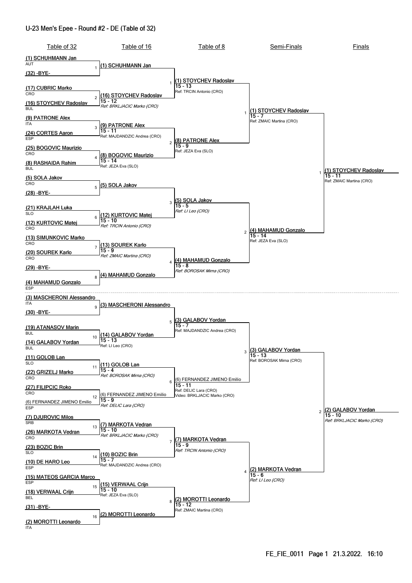#### U-23 Men's Epee - Round #2 - DE (Table of 32)

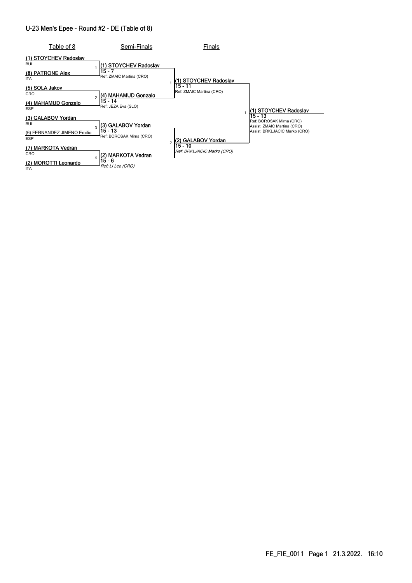#### U-23 Men's Epee - Round #2 - DE (Table of 8)

| Table of 8                                                             | Semi-Finals                                                      | Finals                                |                                                                                                     |
|------------------------------------------------------------------------|------------------------------------------------------------------|---------------------------------------|-----------------------------------------------------------------------------------------------------|
| (1) STOYCHEV Radoslav<br><b>BUL</b><br>(8) PATRONE Alex<br><b>ITA</b>  | (1) STOYCHEV Radoslav<br>15 - 7<br>Ref: ZMAIC Martina (CRO)      | (1) STOYCHEV Radoslav                 |                                                                                                     |
| (5) SOLA Jakov<br>CRO<br>(4) MAHAMUD Gonzalo<br><b>ESP</b>             | (4) MAHAMUD Gonzalo<br>15 - 14<br>Ref: JEZA Eva (SLO)            | 15 - 11<br>Ref: ZMAIC Martina (CRO)   | (1) STOYCHEV Radoslav                                                                               |
| (3) GALABOV Yordan<br><b>BUL</b><br>(6) FERNANDEZ JIMENO Emilio<br>ESP | (3) GALABOV Yordan<br>٩<br>$15 - 13$<br>Ref: BOROSAK Mirna (CRO) | 2) GALABOV Yordan                     | 15 - 13<br>Ref: BOROSAK Mirna (CRO)<br>Assist: ZMAIC Martina (CRO)<br>Assist: BRKLJACIC Marko (CRO) |
| (7) MARKOTA Vedran<br>CRO<br>(2) MOROTTI Leonardo<br><b>ITA</b>        | (2) MARKOTA Vedran<br>15 - 6<br>Ref: LI Leo (CRO)                | 15 - 10<br>Ref: BRKLJACIC Marko (CRO) |                                                                                                     |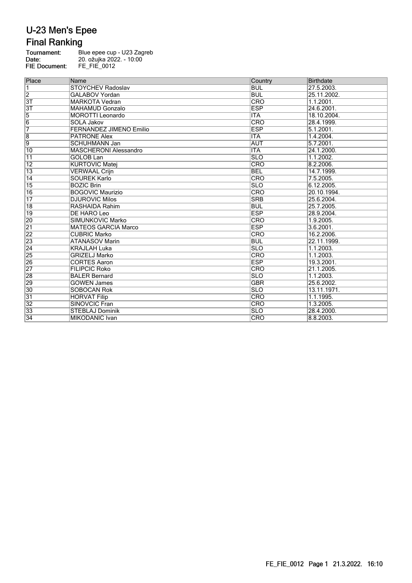# **Final Ranking**

| Tournament:          | Blue epee cup - U23 Zagreb |
|----------------------|----------------------------|
| Date:                | 20. ožujka 2022. - 10:00   |
| <b>FIE Document:</b> | FE FIE 0012                |
|                      |                            |

| Place           | Name                           | Country                 | Birthdate   |
|-----------------|--------------------------------|-------------------------|-------------|
| $\overline{1}$  | <b>STOYCHEV Radoslav</b>       | <b>BUL</b>              | 27.5.2003.  |
| $\overline{2}$  | <b>GALABOV Yordan</b>          | <b>BUL</b>              | 25.11.2002. |
| $\overline{3T}$ | <b>MARKOTA Vedran</b>          | <b>CRO</b>              | 1.1.2001.   |
| 3T              | <b>MAHAMUD Gonzalo</b>         | <b>ESP</b>              | 24.6.2001.  |
| $\overline{5}$  | <b>MOROTTI</b> Leonardo        | <b>ITA</b>              | 18.10.2004. |
| $\overline{6}$  | <b>SOLA Jakov</b>              | $\overline{\text{CRO}}$ | 28.4.1999.  |
| 7               | <b>FERNANDEZ JIMENO Emilio</b> | <b>ESP</b>              | 5.1.2001.   |
| $\overline{8}$  | <b>PATRONE Alex</b>            | ITA                     | 1.4.2004.   |
| $\overline{9}$  | <b>SCHUHMANN Jan</b>           | <b>AUT</b>              | 5.7.2001.   |
| $\overline{10}$ | <b>MASCHERONI Alessandro</b>   | <b>ITA</b>              | 24.1.2000.  |
| $\overline{11}$ | <b>GOLOB Lan</b>               | <b>SLO</b>              | 1.1.2002.   |
| $\overline{12}$ | <b>KURTOVIC Matej</b>          | CRO                     | 8.2.2006.   |
| $\overline{13}$ | <b>VERWAAL Crijn</b>           | <b>BEL</b>              | 14.7.1999.  |
| $\overline{14}$ | <b>SOUREK Karlo</b>            | CRO                     | 7.5.2005.   |
| 15              | <b>BOZIC Brin</b>              | <b>SLO</b>              | 6.12.2005.  |
| 16              | <b>BOGOVIC Maurizio</b>        | CRO                     | 20.10.1994. |
| $\overline{17}$ | <b>DJUROVIC Milos</b>          | <b>SRB</b>              | 25.6.2004.  |
| $\overline{18}$ | <b>RASHAIDA Rahim</b>          | <b>BUL</b>              | 25.7.2005.  |
| $\overline{19}$ | <b>DE HARO Leo</b>             | <b>ESP</b>              | 28.9.2004.  |
| 20              | SIMUNKOVIC Marko               | <b>CRO</b>              | 1.9.2005.   |
| $\overline{21}$ | <b>MATEOS GARCIA Marco</b>     | <b>ESP</b>              | 3.6.2001.   |
| 22              | <b>CUBRIC Marko</b>            | CRO                     | 16.2.2006.  |
| 23              | <b>ATANASOV Marin</b>          | <b>BUL</b>              | 22.11.1999. |
| $\overline{24}$ | <b>KRAJLAH Luka</b>            | <b>SLO</b>              | 1.1.2003.   |
| 25              | <b>GRIZELJ Marko</b>           | <b>CRO</b>              | 1.1.2003.   |
| 26              | <b>CORTES Aaron</b>            | <b>ESP</b>              | 19.3.2001.  |
| $\overline{27}$ | <b>FILIPCIC Roko</b>           | CRO                     | 21.1.2005.  |
| 28              | <b>BALER Bernard</b>           | <b>SLO</b>              | 1.1.2003.   |
| 29              | <b>GOWEN James</b>             | <b>GBR</b>              | 25.6.2002.  |
| 30              | <b>SOBOCAN Rok</b>             | <b>SLO</b>              | 13.11.1971. |
| 31              | <b>HORVAT Filip</b>            | CRO                     | 1.1.1995.   |
| 32              | <b>SINOVCIC Fran</b>           | CRO                     | 1.3.2005.   |
| 33              | <b>STEBLAJ Dominik</b>         | <b>SLO</b>              | 28.4.2000.  |
| $\overline{34}$ | <b>MIKODANIC Ivan</b>          | <b>CRO</b>              | 8.8.2003.   |